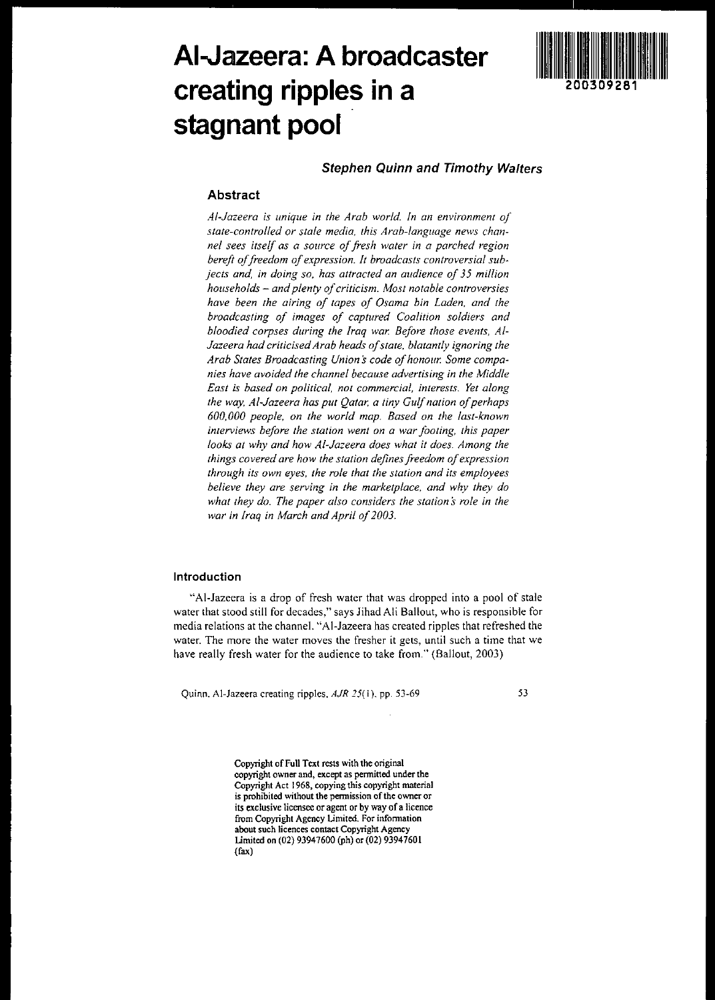# **AI-Jazeera: A broadcaster creating ripples in a stagnant pool**



# **Stephen Quinn and Timothy WaIters**

# **Abstract**

*A/-Jazeera is unique in the Arab world. In an environment of state-controlled or stale media, this Arab-language news channel sees itself as a source offresh water in a parched region* bereft of freedom of expression. It broadcasts controversial sub*jects and, in doing so, has attracted an audience of* **35** *million households and plenty ofcriticism. Most notable controversies have been the airing of tapes of Osama bin Laden. and the broadcasting of images of captured Coalition soldiers and bloodied corpses during the Iraq war. Before those events, AI-Jazeera had criticisedArab heads ofstate, blatantly ignoring the Arab States Broadcasting Union scode ofhonour. Some companies have avoided the channel because advertising in the Middle East is based on political, not commercial, interests. Yet along the way, AI-Jazeera has put Qatar. a tiny Gulfnation ofperhaps 600,000 people, on the world map. Based on the last-known interviews before the station went on a war footing, this paper looks at why and how AI-Jazeera does what it does. Among the things covered are how the station definesfreedom ofexpression through its own eyes. the role that the station and its employees believe they are serving in the marketplace. and why they do what they do. The paper also considers the station* **s***role in the war in Iraq in March and April of2003.*

#### **Introduction**

"AI-lazeera is a drop of fresh water that was dropped into a pool of stale water that stood still for decades," says lihad Ali Bailout, who is responsible for media relations at the channel. "AI-lazeera has created ripples that refreshed the **water. The more the water moves the fresher it gets, until such a time that we** have really fresh water for the audience to take from." (Bailout, 2003)

**Quinn.** Al~Jazeera **creating ripples,** *AJR* **25( I). pp. 53-69**

53

**Copyright of Full Text rests with the original copyright owner and, except as pennitted under the Copyright Act 1968, copying this copyright material is prohibited without the pennission ofthe owner or its exclusive licensee or agent or by way ofa licence from Copyright Agency Limited. For infonnation about such licences contact Copyright Agency** limited on (02) 93947600 (ph) or (02) 93947601 (fax)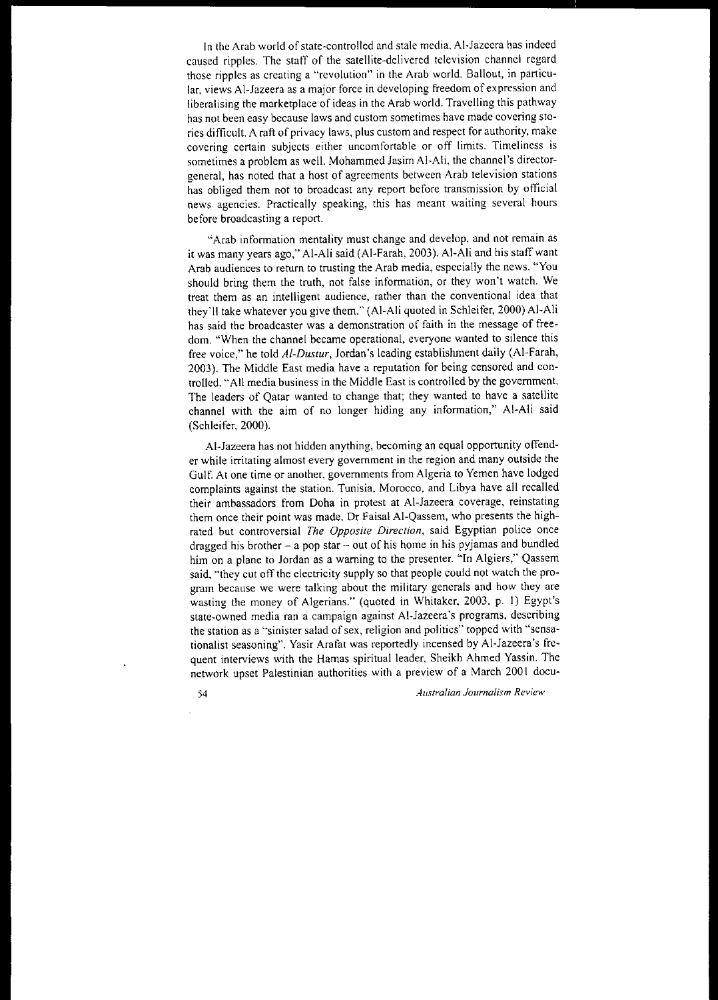In the Arab world of state-controlled and stale media, Al-Jazeera has indeed caused ripples. The staff of the satellite-delivered television channel regard **those ripples as creating a "revolution" in the Arab world. Bailout, in particular, views AI-Jazeera as a major force in developing freedom of expression and** liberalising the marketplace of ideas in the Arab world. Travelling this pathway **has not been easy because laws and custom sometimes have made covering sto**ries difficult. A raft of privacy laws, plus custom and respect for authority, make **covering certain subjects either uncomfortable or off limits. Timeliness is** sometimes a problem as well. Mohammed lasim AI-Ali, the channel's director**general, has noted that a host of agreements between Arab television stations has obliged them not to broadcast any report before transmission by official news agencies. Practically speaking, this has meant waiting several hours** before broadcasting a report.

**"'Arab infonnation mentality must change and develop, and not remain as** it was many years ago," AI-Ali said (AI-Farah, 2003). AI-Ali and his staff want **Arab audiences to return to trusting the Arab media, especially the news. "You** should bring them the truth, not false information, or they won't watch. We **treat them as an intelligent audience, rather than the conventional idea that** they'll take whatever you give them." (AI-Ali quoted in Schleifer, 2000) AI-Ali **has said the broadcaster was a demonstration of faith in the message of free**dom. "When the channel became operational, everyone wanted to silence this free voice," he told *AI-Dustur,* lordan's leading establishment daily (AI-Farah, 2003). The Middle East media have a reputation for being censored and controlled. "All media business in the Middle East is controlled by the government. The leaders of Qatar wanted to change that; they wanted to have a satellite channel with the aim of no longer hiding any information," AI-Ali said (Schleifer, 2000).

AI-lazeera has not hidden anything, becoming an equal opportunity offend**er while irritating almost every government in the region and many outside the** Gulf. At one time or another, governments from Algeria to Yemen have lodged complaints against the station. Tunisia, Morocco, and Libya have all recalled their ambassadors from Doha in protest at AI-lazeera coverage, reinstating **them once their point was made. Dr Faisal AI-Qassem, who presents the highrated but controversial** *The Opposite Direction,* **said Egyptian police once** dragged his brother  $-$  a pop star  $-$  out of his home in his pyjamas and bundled him on a plane to Jordan as a warning to the presenter. "In Algiers," Qassem said, "they cut off the electricity supply so that people could not watch the pro**gram because we were talking about the military generals and how they are** wasting the money of Algerians." (quoted in Whitaker, 2003, p. I) Egypt's **state-owned media ran a campaign against AI·Jazeera's programs, describing the station as a '''sinister salad ofsex, religion and politics" topped with "sensa**tionalist seasoning", Yasir Arafat was reportedly incensed by AI-lazeera's frequent interviews with the Hamas spiritual leader, Sheikh Ahmed Yassin. The network upset Palestinian authorities with a preview of a March 2001 docu-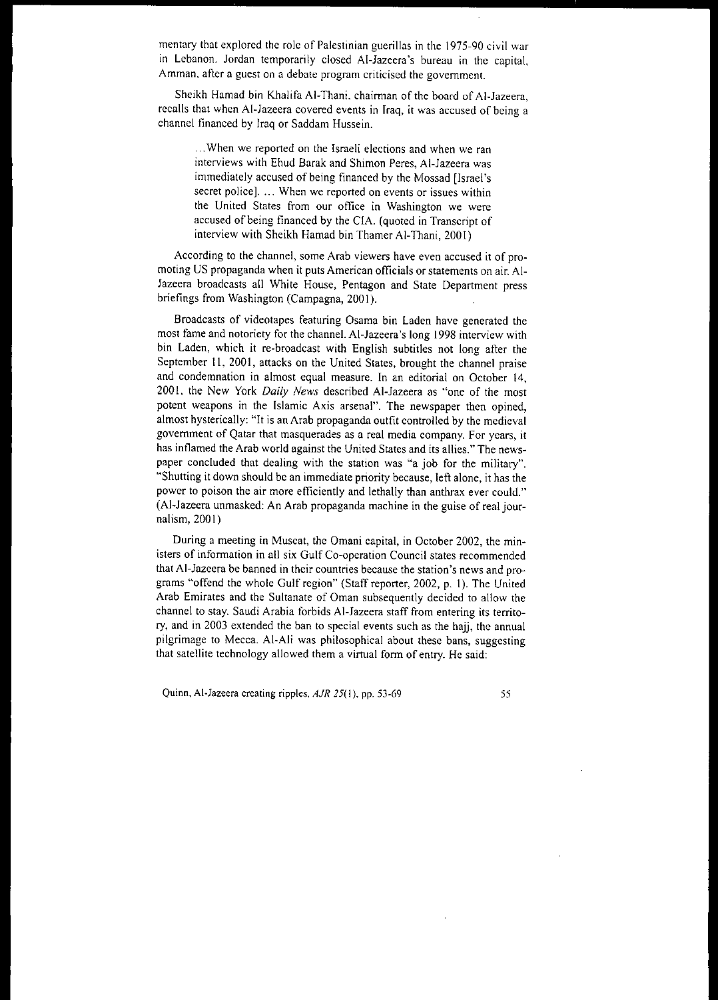mentary that explored the role of Palestinian guerillas in the 1975-90 civil war in Lebanon. Jordan temporarily closed AI-Jazeera's bureau in the capital, **Amman. after a guest on a debate program criticised the government.**

Sheikh Hamad bin Khalifa AI-Thani. chairman of the board of AI-Jazeera, recalls that when AI-Jazeera covered events in Iraq, it was accused of being a channel financed by Iraq or Saddam Hussein.

... **When we reported on the Israeli elections and when we ran** interviews with Ehud Barak and Shimon Peres, AI-Jazeera was immediately accused of being financed by the Mossad [Israel's **secret police]. ... When we reported on events or issues within the United States from our office in Washington we were** accused of being financed by the CIA. (quoted in Transcript of interview with Sheikh Hamad bin Thamer AI-Thani, 200 I)

**According to the channel, some Arab viewers have even accused it of pro**moting US propaganda when it puts American officials or statements on air. AI-Jazeera broadcasts all White House, Pentagon and State Department press briefings from Washington (Campagna, 2001).

Broadcasts of videotapes featuring Osama bin Laden have generated the most fame and notoriety for the channel. AI-Jazeera's long 1998 interview with bin Laden, which it re-broadcast with English subtitles not long after the September 11, 2001, attacks on the United States, brought the channel praise and condemnation in almost equal measure. In an editorial on October 14, 200 I, the New York *Daily News* described AI-Jazeera as "one of the most potent weapons in the [slamic Axis arsenal". The newspaper then opined, almost hysterically: "It is an Arab propaganda outfit controlled by the medieval **government of Qatar that masquerades as a real media company. For years, it** has inflamed the Arab world against the United States and its allies." The newspaper concluded that dealing with the station was "a job for the military". "Shutting it down should be an immediate priority because, left alone, it has the power to poison the air more efficiently and lethally than anthrax ever could." (AI-Jazeera unmasked: An Arab propaganda machine in the guise of real journalism, 200 I)

During a meeting in Muscat, the Omani capital, in October 2002, the min**isters of information in all six Gulf Co-operation Council states recommended thatAI-Jazeera be banned in their countries because the station's news and pro**grams "offend the whole Gulf region" (Staff reporter, 2002, p. I). The United Arab Emirates and the Sultanate of Oman subsequently decided to allow the channel to stay. Saudi Arabia forbids AI-Jazeera staff from entering its territory, and in 2003 extended the ban to special events such as the hajj, the annual pilgrimage to Mecca. Al-Ali was philosophical about these bans, suggesting that satellite technology allowed them a virtual form of entry. He said:

**Quinn, Al-Jazeera creating ripples,** *AJR* **25( I). pp. 53-69** 55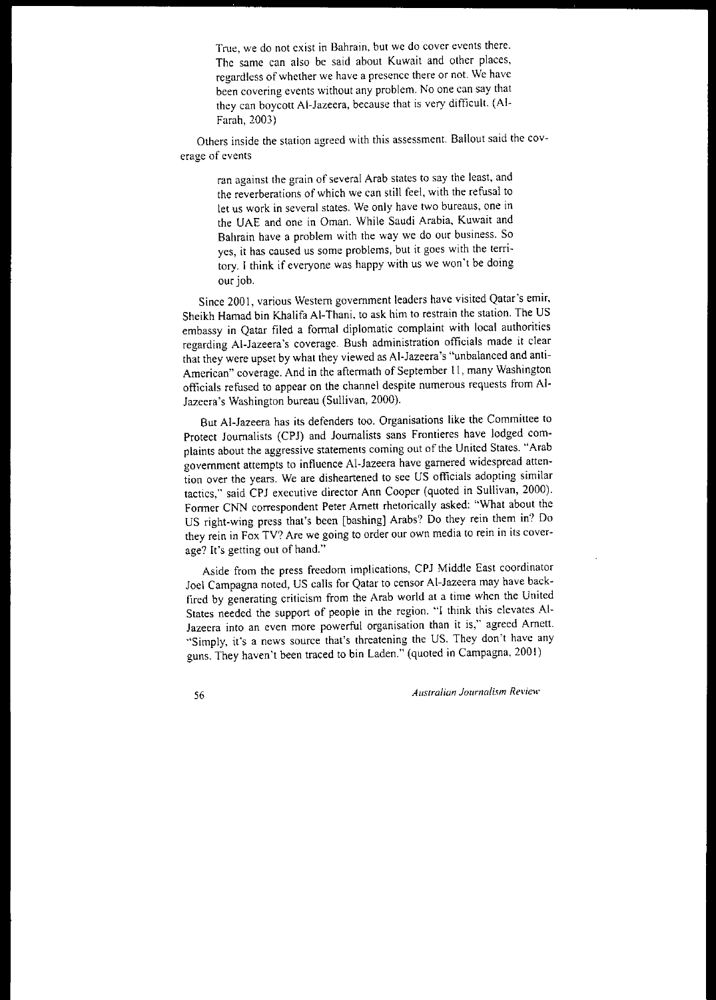**True, we do not exist in Bahrain. but we do cover events there.** The same can also be said about Kuwait and other places, **regardless** of whether **we have a presence there or not. We have** been covering events without any problem. No one can say that they can boycott AI-Jazeera, because that is very difficult. (AI-Farah,2003)

**Others inside the station agreed with this assessment. 8a11out said the coverage of events**

> **ran against the grain of several Arab states to say the least, and** the reverberations of which we can still feel, with the refusal to **let us work in several states. We only have two bureaus, onc in** the UAE and one in Oman. While Saudi Arabia, Kuwait and Bahrain have a problem with the way we do our business. So **yes, it has caused us some problems, but it goes with the terri**tory. I think if everyone was happy with us we won't be doing our job.

Since 2001, various Western government leaders have visited Qatar's emir, Sheikh Hamad bin Khalifa AI-Thani. to ask him to restrain the station. The US embassy in Qatar filed a formal diplomatic complaint with local authorities **regarding Al-Jazeera's coverage. Bush administration officials made it clear** that they were upset by what they viewed as AI-Jazeera's "unbalanced and anti-American" coverage. And in the aftermath of September 11, many Washington officials refused to appear on the channel despite numerous requests from Al-Jazeera's Washington bureau (Sullivan, 2000).

But AI-Jazeera has its defenders too. Organisations like the Committee to Protect Journalists (CPJ) and Journalists sans Frontieres have lodged com**plaints about the aggressive statements coming out of the United States. "Arab** government attempts to influence AI-Jazeera have garnered widespread atten**tion over the years. We are disheartened to see US officials adopting similar** tactics," said CPJ executive director Ann Cooper (quoted in Sullivan, 2000). Former CNN correspondent Peter Arnett rhetorically asked: "What about the US right-wing press that's been [bashing] Arabs? Do they rein them in? Do **they rein in Fox TV? Are we going to order our own media to rein in its cover**age? It's getting out of hand."

Aside from the press freedom implications, CPJ Middle East coordinator Joel Campagna noted, US calls for Qatar to censor AI-Jazeera may have backfired by generating criticism from the Arab world at a time when the United States needed the support of people in the region. "I think this elevates AI-**Jazeera into an even more powerful organisation than it is," agreed Arnett. '''Simply, it's a news source that's threatening the US. They don't have any** guns. They haven't been traced to bin Laden." (quoted in Campagna, 2001)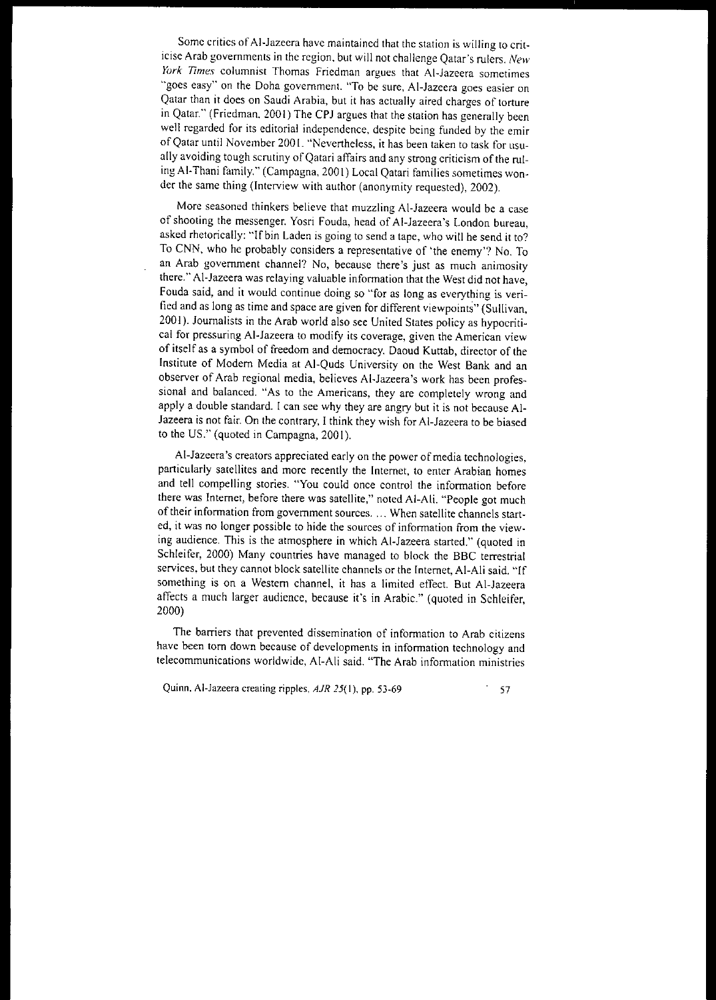**Some critics ofAI·Jazeera have maintained that the station is willing to criticise Arab governments in the region, but will not challenge Qatar's rulers.** *New York Times* **columnist Thomas Friedman argues that Al-Jazeera sometimes "goes easy" on the Doha government. "To be sure, Al-Jazeera goes easier on** Qatar than it does on Saudi Arabia, but it has actually aired charges of torture in Qatar." (Friedman. 2001) The CPJ argues that the station has generally been well regarded for its editorial independence, despite being funded by the emir ofQatar until November 2001. "Nevertheless, it has been taken to task for usually avoiding tough scrutiny of Qatari affairs and any strong criticism of the ruling Al-Thani family." (Campagna, 2001) Local Qatari families sometimes wonder the same thing (Interview with author (anonymity requested), 2002).

**More seasoned thinkers believe that muzzling Al-Jazeera would be a case** of shooting the messenger. Yosri Fouda, head of AI-Jazeera's London bureau, asked rhetorically: "If bin Laden is going to send a tape, who will he send it to? To CNN, who he probably considers a representative of 'the enemy'? No. To **an Arab government channel? No, because there's just as much animosity there." Al-Jazeera was relaying valuable information that the West did not have, Fouda said, and it would continue doing so "for as long as everything is veri**fied and as long as time and space are given for different viewpoints" (Sullivan, 2001). Journalists in the Arab world also see United States policy as hypocriti**cal for pressuring AI-Jazeera to modify its coverage, given the American view** of itself as a symbol of freedom and democracy. Daoud Kuttab, director ofthe Institute of Modem Media at AI-Quds University on the West Bank and an observer of Arab regional media, believes AI-Jazeera's work has been professional and balanced. "As to the Americans, they are completely wrong and apply a double standard. I can see why they are angry but it is not because AI-Jazeera is not fair. On the contrary, I think they wish for AI-Jazeera to be biased to the US." (quoted in Campagna, 2001).

**Al-Jazeera's creators appreciated early on the power** of media **technologies,** particularly satellites and more recently the Internet, to enter Arabian homes and tell compelling stories. "You could once control the information before there was Internet, before there was satellite," noted AI-AIi. "People got much oftheir **information from government sources. '" When satellite channels start. cd, it was no longer possible to hide the sources of information from the view.** ing audience. This is the atmosphere in which AI-Jazeera started." (quoted in Schleifer, 2000) Many countries have managed to block the BBC terrestrial services, but they cannot block satellite channels or the Internet, AI-Ali said. "If something is on a Western channel, it has a limited effect. But AI-Jazeera affects a much larger audience, because it's in Arabic." (quoted in Schleifer, 2000)

**The barriers that prevented dissemination of information to Arab citizens have been torn down because of developments in information technology and telecommunications worldwide, AI-Ali said. "The Arab infoffilation ministries**

**Quinn, AI-Jazeera creating ripples, AiR 25( I), pp. 53-69** 57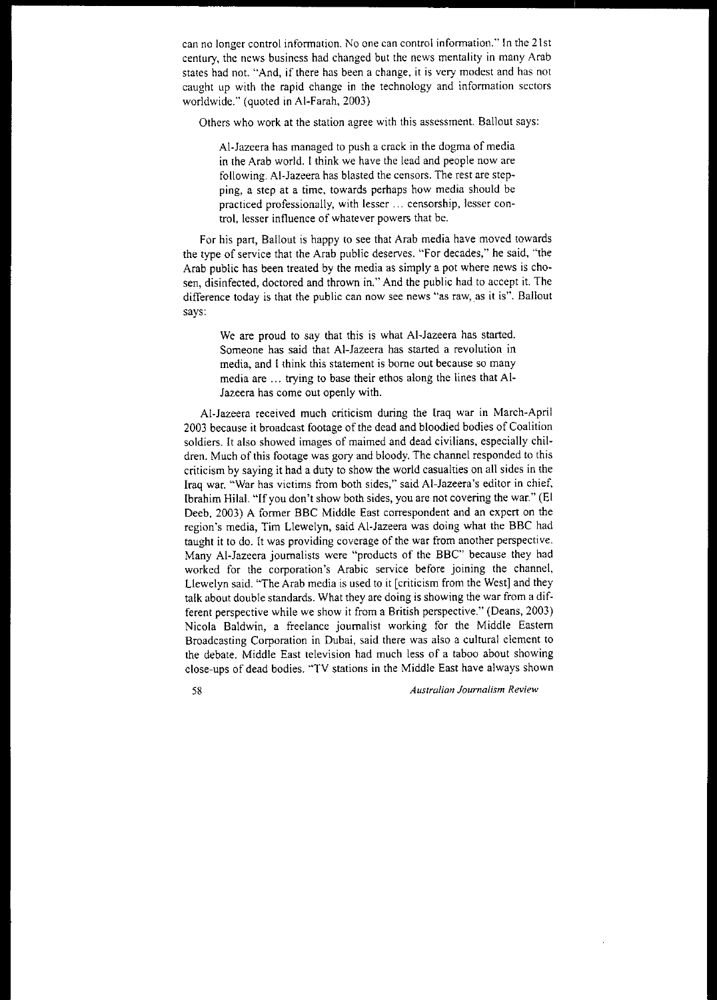**can no longer control infonnation. No one can control infonnation." In the 21 st** century, the news business had changed but the news mentality in many Arab states had not. "And, if there has been a change, it is very modest and has not caught up with the rapid change in the technology and information sectors worldwide." (quoted in AI-Farah, 2003)

Others who work at the station agree with this assessment. Bailout says:

AI-lazeera has managed to push a crack in the dogma of media in the Arab world. I think we have the lead and people now are following. AI-lazeera has blasted the censors. The rest are stepping, a step at a time, towards perhaps how media should be **practiced professionally, with lesser ... censorship, lesser control, lesser influence of whatever powers that be.**

For his part, Bailout is happy to see that Arab media have moved towards the type of service that the Arab public deserves. "For decades," he said, "the Arab public has been treated by the media as simply a pot where news is chosen, disinfected, doctored and thrown in." And the public had to accept it. The **difference today is that the public can now see news "'as raw,as it is". Bailout** says:

> We are proud to say that this is what AI-lazeera has started. Someone has said that AI-lazeera has started a revolution in **media, and Ithink this statement is borne out because so many** media are ... trying to base their ethos along the lines that AI-**Jazeera has come out openly with.**

AI-lazeera received much criticism during the Iraq war in March-April 2003 because it broadcast footage of the dead and bloodied bodies of Coalition soldiers. It also showed images of maimed and dead civilians, especially children. Much of this footage was gory and bloody. The channel responded to this criticism by saying it had a duty to show the world casualties on all sides in the **Iraq war. "War has victims from both sides," said AI-Jazeera's editor in chief,** Ibrahim Hilal. "If you don't show both sides, you are not covering the war." (El Deeb, 2003) A former BBC Middle East correspondent and an expert on the region's media, Tim L1ewelyn, said AI-lazeera was doing what the BBC had taught it to do. It was providing coverage of the war from another perspective. Many AI-lazeera journalists were "products of the BBC" because they had worked for the corporation's Arabic service before joining the channel, Llewelyn said. "The Arab media is used to it [criticism from the West] and they talk about double standards. What they are doing is showing the war from a different perspective while we show it from a British perspective." (Deans, 2003) Nicola Baldwin, a freelance journalist working for the Middle Eastern **Broadcasting Corporation in Dubai, said there was also a cultural element to** the debate. Middle East television had much less of a taboo about showing close-ups of dead bodies. "TV stations in the Middle East have always shown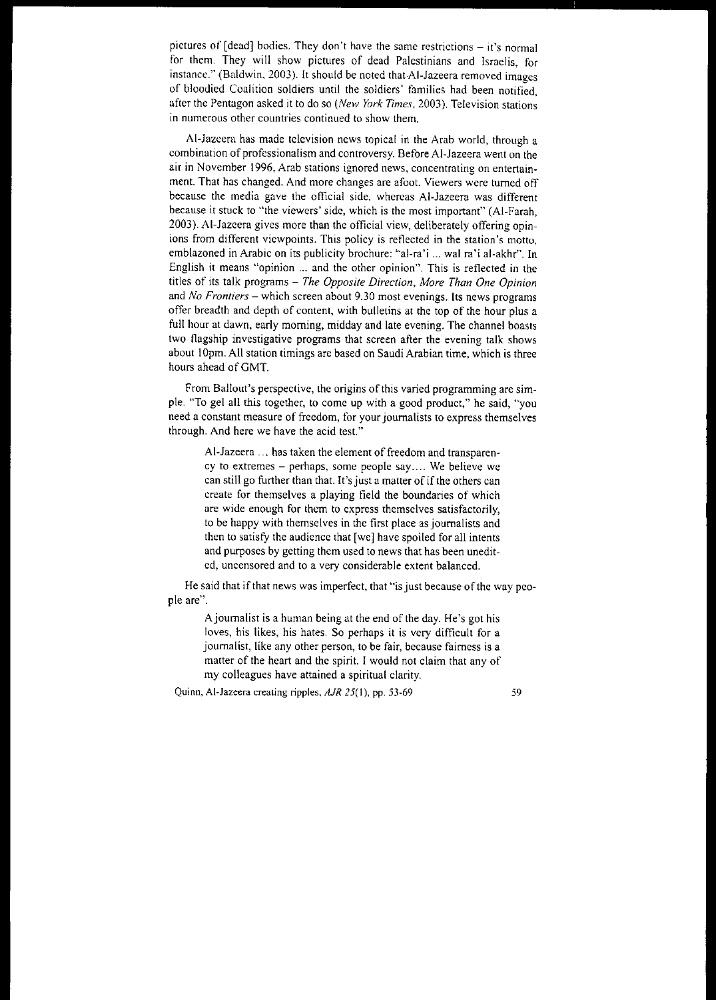pictures of [dead] bodies. They don't have the same restrictions - it's normal for them. They will show pictures of dead Palestinians and Israelis, for instance." (Baldwin, 2003). It should be noted that AI-Jazeera removed images of bloodied Coalition soldiers until the soldiers' families had been notified. after the Pentagon asked it to do so *(New York Times,* 2003). Television stations **in numerous other countries continued to show them.**

**AI-Jazeera has made television news topical in the Arab world, through a combination** of professionalism **and controversy. Before AI-Jazeera went on the air in November 1996, Arab stations ignored news, concentrating on entertainment. That has changed. And more changes are afoot. Viewers were turned off because the media gave the official side. whereas AI-Jazeera was different because it stuck to "the viewers' side, which is the most important" (AI-Farah,** 2003). AI-Jazeera gives more than the official view, deliberately offering opin**ions from different viewpoints. This policy is reflected in the station's motto,** emblazoned in Arabic on its publicity brochure: "al-ra'i ... wal ra'i al-akhr". In **English it means "'opinion** ... **and the other opinion". This is reflected in the** titles of its talk programs - *The Opposite Direction, More Than One Opinion* **and** *No Frontiers* **- which screen about 9.30 most evenings. Its news programs** offer breadth and depth of content, with bulletins at the top of the hour plus a full hour at dawn, early morning, midday and late evening. The channel boasts **two flagship investigative programs that screen after the evening talk shows** about IOpm. All station timings are based on Saudi Arabian time, which is three hours ahead of GMT.

From Ballout's perspective, the origins of this varied programming are simple. "To gel all this together, to come up with a good product," he said, "you **need a constant measure of freedom, for your journalists to express themselves** through. And here we have the acid test."

Al-Jazeera ... has taken the element of freedom and transparen**cy to extremes - perhaps, some people say.... We believe we** can still go further than that. It's just a matter of if the others can create for themselves a playing field the boundaries of which **are wide enough for them to express themselves satisfactorily,** to be happy with themselves in the first place as journalists and then to satisfy the audience that [we] have spoiled for all intents and purposes by getting them used to news that has been unedit**ed, uncensored and to a very considerable extent balanced.**

He said that if that news was imperfect, that "is just because of the way people are".

> Ajournalist is a human being at the end of the day. He's got his loves, his likes, his hates. So perhaps it is very difficult for a **journalist, like any other person, to be fair, because fairness is a** matter of the heart and the spirit. I would not claim that any of my colleagues have attained a spiritual clarity.

Quinn, Al-Jazeera creating ripples, *AJR* 25(1), pp. 53-69 59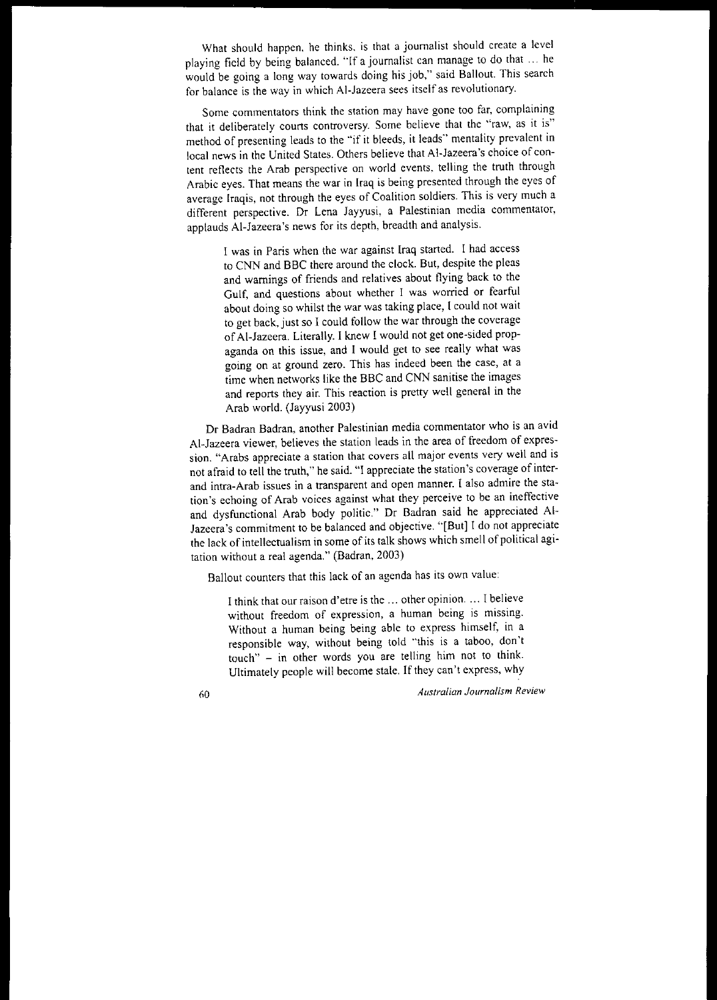What should happen, he thinks, is that a journalist should create a level playing field by being balanced. "If a journalist can manage to do that ... he would be going a long way towards doing his job," said Bailout. This search for balance is the way in which AI-Jazeera sees itself as revolutionary.

**Some commentators think the station may have gone too far, complaining that it deliberately courts controversy. Some believe that the "raw, as it is"** method of presenting leads to the "if it bleeds, it leads" mentality prevalent in local news in the United States. Others believe that AI-Jazeera's choice of content reflects the Arab perspective on world events. telling the truth through Arabic eyes. That means the war in Iraq is being presented through the eyes of average Iraqis, not through the eyes of Coalition soldiers. This is very much a **different perspective. Or Lena Jayyusi, a Palestinian media commentator,** applauds AI-Jazeera's news for its depth, breadth and analysis.

> I was in Paris when the war against Iraq started. I had access to CNN and BBC there around the clock. But, despite the pleas and warnings of friends and relatives about flying back to the **Gulf, and questions about whether I was worried or fearful** about doing so whilst the war was taking place, I could not wait to get back, just so I could follow the war through the coverage of Al-Jazeera. Literally. I knew I would not get one-sided propaganda on this issue, and I would get to see really what was going on at ground zero. This has indeed been the case, at a time when networks like the BBC and CNN sanitise the images and reports they air. This reaction is pretty well general in the Arab world. (Jayyusi 2003)

**Dr Badran Badran, another Palestinian media commentator who is an avid** AI-Jazeera viewer, believes the station leads in the area of freedom of expres**sion. "Arabs appreciate a station that covers all major events very well and is** not afraid to tell the truth," he said. "[ appreciate the station's coverage of inter**and intra-Arab issues in a transparent and open manner. 1 also admire the station's echoing of Arab voices against what they perceive to be an ineffective** and dysfunctional Arab body politic." Dr Badran said he appreciated AI-Jazeera's commitment to be balanced and objective. "[But] [ do not appreciate the lack of intellectualism in some of its talk shows which smell of political agitation without a real agenda." (Badran, 2003)

Bailout counters that this lack of an agenda has its own value:

**Ithink that our raison d'etre is the ... other opinion.... Ibelieve without freedom of expression, a human being is missing.** Without a human being being able to express himself, in a responsible way, without being told "this is a taboo, don't touch" - in other words you are telling him not to think. Ultimately people will become stale. If they can't express, why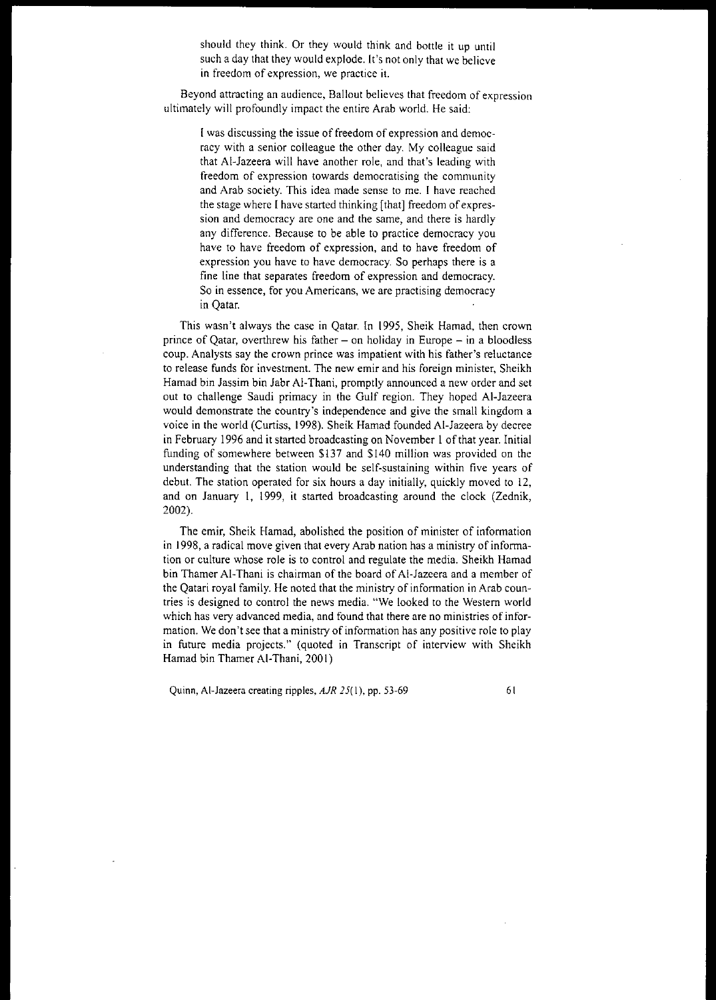should they think. Or they would think and bottle it up until such a day that they would explode. It's not only that we belicve **in freedom of expression, we practice it.**

**Beyond attracting an audience, Bailout believes that freedom of expression** ultimately will profoundly impact the entire Arab world. He said:

**I was discussing the issue of freedom of expression and democ**racy with a senior colleague the other day. My colleague said that AI-Jazeera will have another role, and that's leading with **freedom of expression towards democratising the community and Arab society. This idea made sense to me. I have reached** the stage where I have started thinking [that] freedom of expression and democracy are one and the same, and there is hardly any difference. Because to be able to practice democracy you have to have freedom of expression, and to have freedom of **expression you have to have democracy. So perhaps there is a fine line that separates freedom of expression and democracy. So in essence, for you Americans, we are practising democracy** in Qatar.

This wasn't always the case in Qatar. In 1995, Sheik Hamad, then crown prince of Qatar, overthrew his father  $-$  on holiday in Europe  $-$  in a bloodless **coup. Analysts say the crown prince was impatient with his father's reluctance to release funds for investment. The new emir and his foreign minister, Sheikh** Hamad bin Jassim bin Jabr AI-Thani, promptly announced a new order and set out to challenge Saudi primacy in the Gulf region. They hoped AI-Jazeera would demonstrate the country's independence and give the small kingdom a voice in the world (Curtiss, 1998). Sheik Hamad founded AI-Jazeera by decree in February 1996 and it started broadcasting on November 1 of that year. Initial funding of somewhere between \$137 and \$140 million was provided on the understanding that the station would be self-sustaining within five years of debut. The station operated for six hours a day initially, quickly moved to 12, and on January I, 1999, it started broadcasting around the clock (Zednik, 2002).

The emir, Sheik Hamad, abolished the position of minister of infonnation in 1998, a radical move given that every Arab nation has a ministry of information or culture whose role is to control and regulate the media. Sheikh Hamad bin Thamer Al-Thani is chairman of the board of Al-Jazeera and a member of the Qatari royal family. He noted that the ministry of infonnation in Arab countries is designed to control the news media. "We looked to the Western world **which has very advanced media, and found that there are no ministries ofinformation. We don't see that a ministry ofinformation has any positive role to play** in future media projects." (quoted in Transcript of interview with Sheikh Hamad bin Thamer Al-Thani, 2001)

Quinn, Al-Jazeera creating ripples, *AJR* 25(1), pp. 53-69 61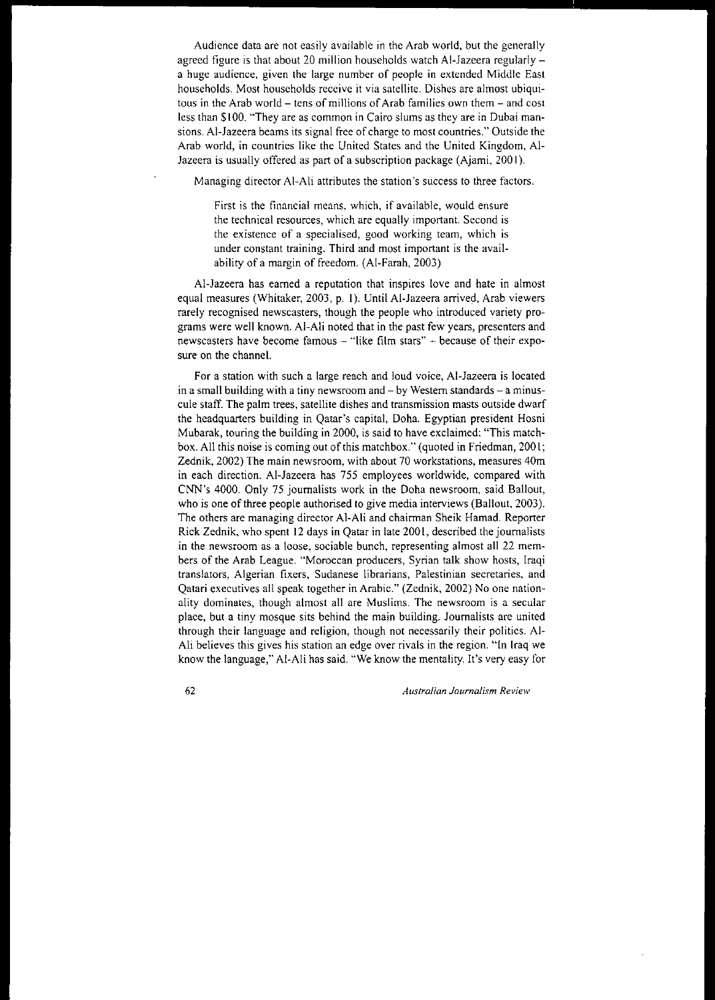Audience data are not easily available in the Arab world, but the generally agreed figure is that about 20 million households watch AI-lazeera regularlya huge audience, given the large number of people in extended Middle East households. Most households receive it via satellite. Dishes are almost ubiqui**tous in the Arab world - tens of millions ofArab families own them - and cost** less than \$100. "They are as common in Cairo slums as they are in Dubai mansions. AI-lazeera beams its signal free of charge to most countries." Outside the Arab world, in countries like the United States and the United Kingdom, AI-Jazeera is usually offered as part of a subscription package (Ajami, 2001).

Managing director AI-Ali attributes the station's success to three factors.

**First is the financial means. which, if available, would ensure** the technical resources, which are equally important. Second is **the existence of a specialised, good working team, which is under constant training. Third and most important is the avail**ability of a margin of freedom. (AI-Farah, 2003)

AI-lazeera has earned a reputation that inspires love and hate in almost equal measures (Whitaker, 2003, p. I). Until AI-lazeera arrived, Arab viewers rarely recognised newscasters, though the people who introduced variety programs were well known. AI-Ali noted that in the past few years, presenters and newscasters have become famous - "like film stars" - because of their exposure on the channel.

**For a station with such a large reach and loud voice, AI-Jazeera is located in a small building with a tiny newsroom and - by Western standards - a minuscule staff. The palm trees, satellite dishes and transmission masts outside dwarf** the headquarters building in Qatar's capital, Doha. Egyptian president Hosni Mubarak, touring the building in 2000, is said to have exclaimed: "This matchbox. All this noise is coming out of this matchbox." (quoted in Friedman, 200 I; Zednik, 2002) The main newsroom, with about 70 workstations, measures 40m in each direction. AI-lazeera has 755 employees worldwide, compared with CNN's 4000. Only 75 journalists work in the Doha newsroom, said Bailout, who is one of three people authorised to give media interviews (Ballout, 2003). The others are managing director AI-Ali and chairman Sheik Hamad. Reporter Rick Zednik, who spent 12 days in Qatar in late 200 I, described the journalists in the newsroom as a loose, sociable bunch, representing almost all 22 members of the Arab League. "Moroccan producers, Syrian talk show hosts, Iraqi **translators, Algerian fixers, Sudanese librarians, Palestinian secretaries, and** Qatari executives all speak together in Arabic." (Zednik, 2002) No one nation**ality dominates, though almost all are Muslims. The newsroom is a secular** place, but a tiny mosque sits behind the main building. lournalists are united through their language and religion, though not necessarily their politics. AI-**AIi believes this gives his station an edge over rivals in the region. "In Iraq we** know the language," AI-Ali has said. "We know the mentality. It's very easy for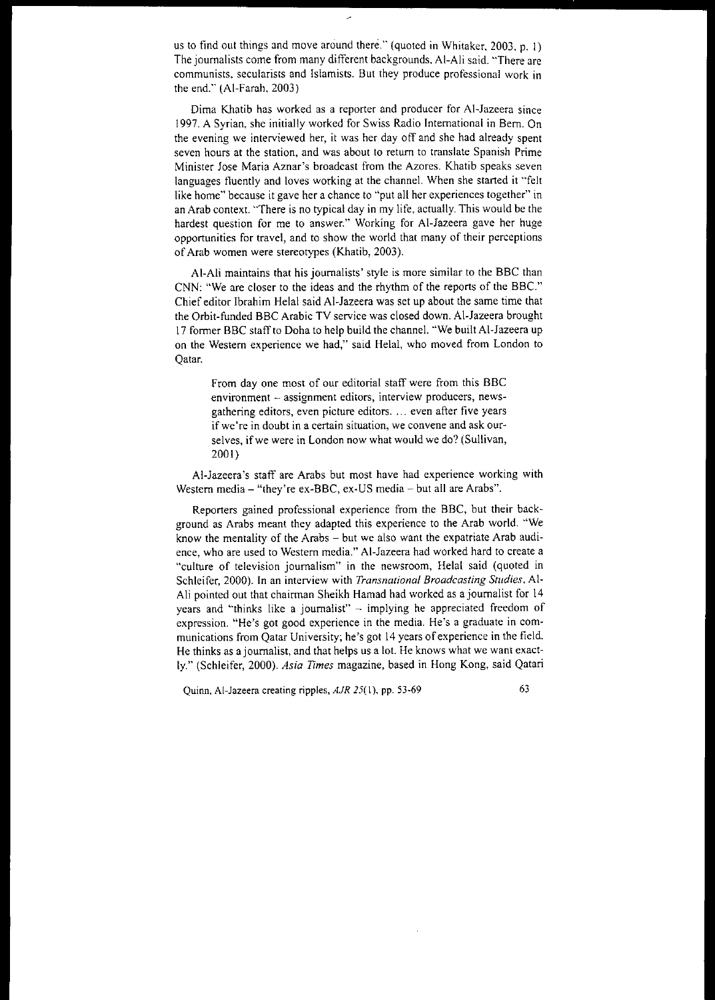us to find out things and move around there." (quoted in Whitaker, 2003, p. I) The journalists come from many different backgrounds, Al-Ali said. "There are **communists. secularists and Islamists. But they produce professional work in** the end." (AI-Farah, 2003)

 $\overline{a}$ 

**Dirna Khatib has worked as a reporter and producer for AI-Jazeera since** 1997. A Syrian, she initially worked for Swiss Radio International in Bern. On the evening we interviewed her, it was her day off and she had already spent **seven hours at the station, and was about to return to translate Spanish Prime** Minister lose Maria Aznar's broadcast from the Azores. Khatib speaks seven languages fluently and loves working at the channel. When she started it "felt **like home" because it gave her a chance to "put all her experiences together" in** an Arab context. "There is no typical day in my life, actually. This would be the **hardest question for me to answer." Working for AI-Jazeera gave her huge** opportunities for travel, and to show the world that many of their perceptions of Arab women were stereotypes (Khatib, 2003).

At-Ali maintains that his journalists' style is more similar to the BBC than CNN: "We are closer to the ideas and the rhythm of the reports of the BBC." Chief editor lbrahim Helal said AI-lazeera was set up about the same time that the Orbit-funded BBC Arabic TV service was closed down. AI-lazeera brought 17 former BBC staff to Doha to help build the channel. "We built AI-Jazeera up on the Western experience we had," said Helal, who moved from London to Qatar.

From day one most of our editorial staff were from this BBC **environment - assignment editors, interview producers, newsgathering editors, even picture editors.** ... **even after five years if we're in doubt in a certain situation, we convene and ask our**selves, if we were in London now what would we do? (Sullivan, 2001)

AI-Jazeera's staff are Arabs but most have had experience working with Western media - "they're ex-BBC, ex-US media - but all are Arabs".

Reporters gained professional experience from the BBC, but their background as Arabs meant they adapted this experience to the Arab world. "We know the mentality of the Arabs - but we also want the expatriate Arab audi**ence, who are used to Western media." AI-Jazeera had worked hard to create a** "culture of television journalism" in the newsroom, Helal said (quoted in **Schleifer, 2000). In an interview with** *Transnational Broadcasting Studies.* **AI-**Ali pointed out that chairman Sheikh Hamad had worked as a journalist for 14 years and "thinks like a journalist"  $-$  implying he appreciated freedom of **expression. "He's got good experience in the media. He's a graduate in com**munications from Qatar University; he's got 14 years of experience in the field. He thinks as a journalist, and that helps us a lot. He knows what we want exactly." (Schleifer, 2000). *Asia Times* magazine, based in Hong Kong, said Qatari

Quinn, Al-Jazeera creating ripples, *AJR* 25(1), pp. 53-69 63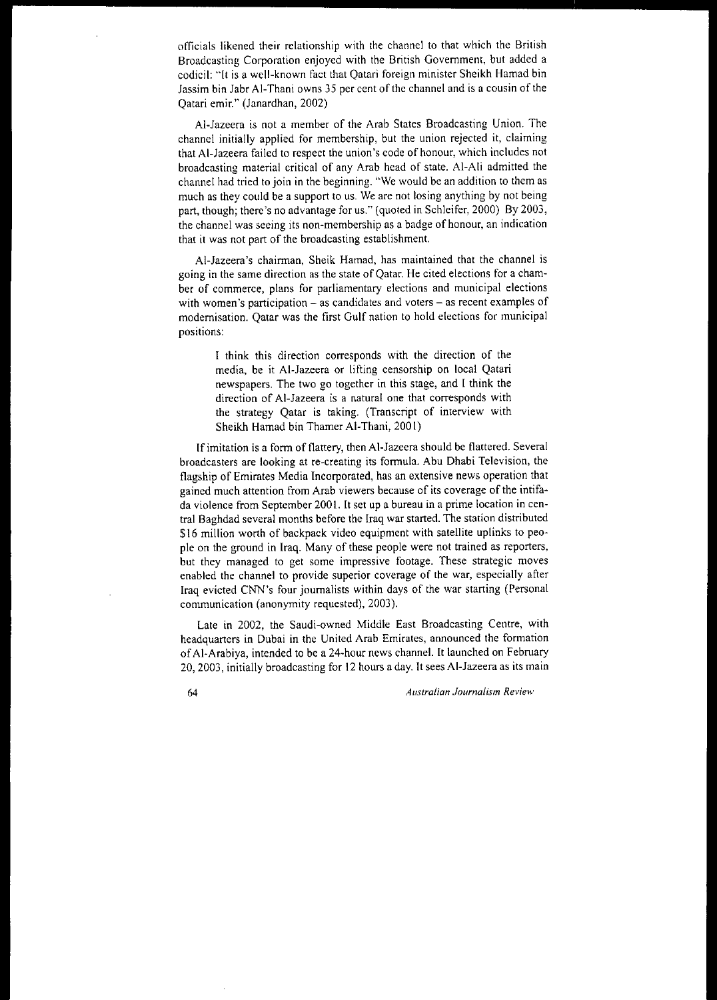officials likened their relationship with the channel to that which the British Broadcasting Corporation enjoyed with the British Government, but added a codicil: "It is a well-known fact that Qatari foreign minister Sheikh Hamad bin Jassim bin Jabr Al-Thani owns 35 per cent of the channel and is a cousin of the Qatari emir." (lanardhan, 2002)

AI-lazeera is not a member of the Arab States Broadcasting Union. The channel initially applied for membership, but the union rejected it, claiming that AI-lazeera failed to respect the union's code of honour, which includes not broadcasting material critical of any Arab head of state. AI-Ali admitted the channel had tried to join in the beginning. "We would be an addition to them as much as they could be a support to us. We are not losing anything by not being part, though; there's no advantage for us." (quoted in Schleifer, 2000) By 2003, **the channel was seeing its non-membership as a badge** of honour, **an indication** that it was not part of the broadcasting establishment.

AI-lazeera's chairman, Sheik Hamad, has maintained that the channel is **going in the same direction as the state of Qatar. He cited elections for a cham**ber of commerce, plans for parliamentary elections and municipal elections **with women's participation - as candidates and voters - as recent examples of** modernisation. Qatar was the first Gulf nation to hold elections for municipal **positions:**

I think this direction corresponds with the direction of the media, be it AI-lazeera or lifting censorship on local Qatari newspapers. The two go together in this stage, and I think the **direction of AI-Jazeera is a natural one that corresponds with** the strategy Qatar is taking. (Transcript of interview with Sheikh Hamad bin Thamer AI-Thani, 200 I)

If imitation is a form of flattery, then AI-Jazeera should be flattered. Several **broadcasters are looking at re-creating its fonnula. Abu Dhabi Television, the** flagship of Emirates Media Incorporated, has an extensive news operation that **gained much attention from Arab viewers because of its coverage of the intifada violence from September 2001. It set up a bureau in a prime location in cen**tral Baghdad several months before the Iraq war started. The station distributed \$16 million worth of backpack video equipment with satellite uplinks to people on the ground in Iraq. Many of these people were not trained as reporters, **but they managed to get some impressive footage. These strategic moves enabled the channel to provide superior coverage of the war, especially after** Iraq evicted CNN's four journalists within days of the war starting (Personal communication (anonymity requested), 2003).

Late in 2002, the Saudi-owned Middle East Broadcasting Centre, with **headquarters in Dubai in the United Arab Emirates, announced the formation** ofAI-Arabiya, intended to be a 24-hour news channel. It launched on February 20,2003, initially broadcasting for 12 hours a day. It sees AI-lazeera as its main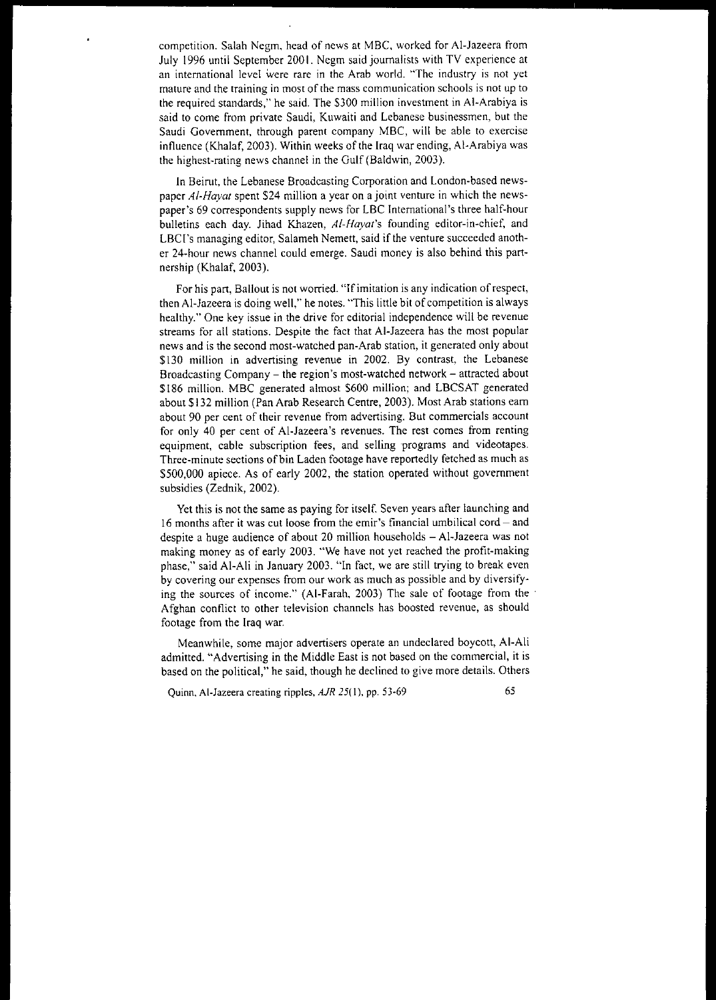competition, Salah Negm, head of news at MBC, worked for AI-lazeera from July 1996 until September 2001. Negm said journalists with TV experience at **an international level were rare in the Arab world. "The industry is not yet mature and the training in most** of the **mass communication schools is not up to** the required standards," he said, The \$300 million investment in AI-Arabiya is said to come from private Saudi, Kuwaiti and Lebanese businessmen, but the Saudi Government, through parent company MBC, will be able to exercise influence (Khalaf, 2003), Within weeks of the Iraq war ending, AI-Arabiya was the highest-rating news channel in the Gulf (Baldwin, 2003),

In Beirut, the Lebanese Broadcasting Corporation and London-based newspaper *AI-Hayat* spent \$24 million a year on a joint venture in which the newspaper's 69 correspondents supply news for LBC International's three half-hour bulletins each day, Jihad Khazen, *AI-Hayat's* founding editor-in-chief, and LBCI's managing editor, Salameh Nemett, said if the venture succeeded another 24-hour news channel could emerge, Saudi money is also behind this partnership (Khalaf, 2003),

**For his part, Bailout is not worried.** "Ifimitation **is any indication** ofrespect, then AI-Jazeera is doing well," he notes, "This little bit of competition is always healthy," One key issue in the drive for editorial independence will be revenue streams for all stations, Despite the fact that AI-Jazeera has the most popular news and is the second most-watched pan-Arab station, it generated only about \$130 million in advertising revenue in 2002. By contrast, the Lebanese Broadcasting Company - the region's most-watched network - attracted about \$186 million. MBC generated almost \$600 million; and LBCSAT generated about \$132 million (Pan Arab Research Centre, 2003), Most Arab stations earn **about 90 per cent of their revenue from advertising. But commercials account for only 40 per cent of Al-Jazeera's revenues. The rest comes from renting** equipment, cable subscription fees, and selling programs and videotapes, Three-minute sections of bin Laden footage have reportedly fetched as much as \$500,000 apiece. As of early 2002, the station operated without government subsidies (Zednik, 2002),

Yet this is not the same as paying for itself. Seven years after launching and **16 months after it was cut loose from the emir's financial umbilical cord - and** despite a huge audience of about 20 million households - Al-Jazeera was not making money as of early 2003, "We have not yet reached the profit-making phase," said AI-AIi in lanuary 2003, "In fact, we are still trying to break even **by covering our expenses from our work as much as possible and by diversify**ing the sources of income," (AI-Farah, 2003) The sale of footage from the' Afghan conflict to other television channels has boosted revenue, as should footage from the Iraq war,

Meanwhile, some major advertisers operate an undeclared boycott, AI-Ali admitted, "Advertising in the Middle East is not based on the commercial, it is based on the political," he said, though he declined to give more details, Others

Quinn, Al-lazeera creating ripples, *AiR* 25(1), pp, 53-69 65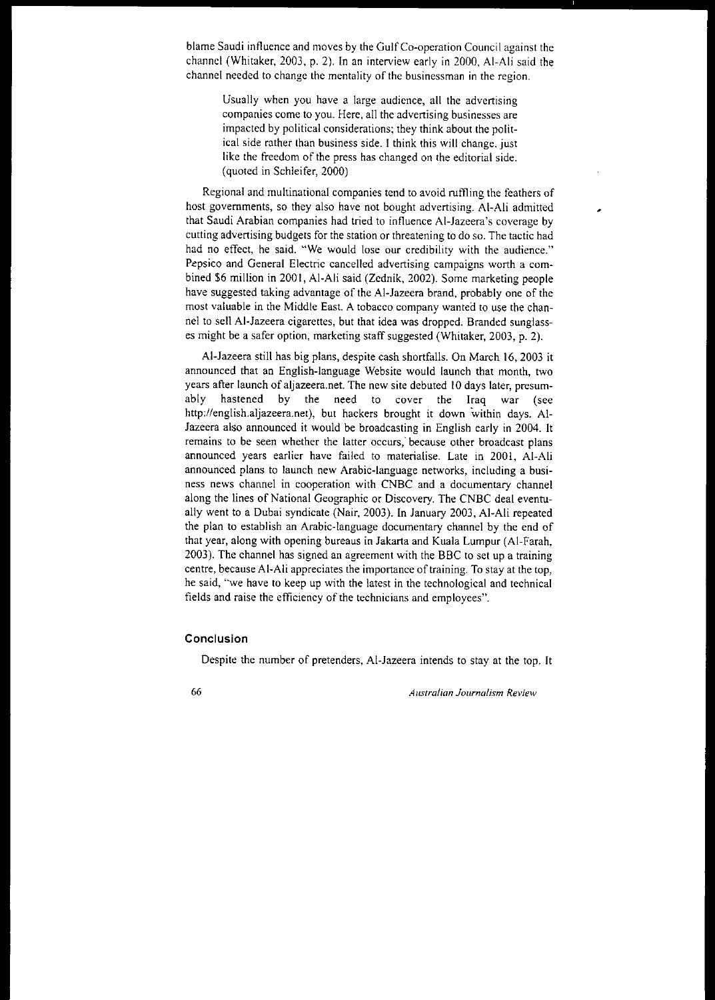**blame Saudi influence and moves by the** Gulf Co-operation **Council against the** channel (Whitaker. 2003. p. 2). In an interview early in 2000. Al-Ali said the **channel needed to change the mentality of the businessman in the region.**

Usually when you have a large audience, all the advertising **companies come to you. Here, all the advertising businesses are** impacted by political considerations; they think about the political side rather than business side. I think this will change. just like the freedom of the press has changed on the editorial side. (quoted in Schleifer, 2000)

Regional and multinational companies tend to avoid ruffling the feathers of host governments, so they also have not bought advertising. AI-Ali admitted that Saudi Arabian companies had tried to influence Al-Jazeem's coverage by cutting advertising budgets for the station or threatening to do so. The tactic had had no effect, he said. "We would lose our credibility with the audience." Pepsico and General Electric cancelled advertising campaigns worth a combined \$6 million in 2001, Al-Ali said (Zednik, 2002). Some marketing people have suggested taking advantage of the Al-Jazeera brand, probably one of the most valuable in the Middle East. A tobacco company wanted to use the channel to sell AI-Jazeem cigarettes, but that idea was dropped. Branded sunglasses might be a safer option, marketing staff suggested (Whitaker, 2003, p. 2).

AI-Jazeera still has big plans, despite cash shortfalls. On March 16, 2003 it announced that an English-language Website would launch that month, two years after launch of aljazeera.net. The new site debuted 10 days later, presumably hastened by the need to cover the Iraq war (see http://english.aljazeera.net), but hackers brought it down within days. Al-Jazeem also announced it would be broadcasting in English early in 2004. It **remains to be seen whether the latter occurs; because other broadcast plans** announced years earlier have failed to materialise. Late in 2001, AI-Ali announced plans to launch new Arabic-language networks, including a busi**ness news channel in cooperation with CNBe and a documentary channel** along the lines of National Geographic or Discovery. The CNBC deal eventually went to a Dubai syndicate (Nair, 2003). In January 2003, A1-Ali repeated the plan to establish an Ambic-language documentary channel by the end of that year, along with opening bureaus in Jakarta and Kuala Lumpur (Al-Famh, 2003). The channel has signed an agreement with the BBC to set up a training **centre,** because AI-AIi appreciates the importance of training. To stay at the top, he said, "we have to keep up with the latest in the technological and technical fields and mise the efficiency of the technicians and employees".

## **Conclusion**

Despite the number of pretenders, AI-Jazeera intends to stay at the top. It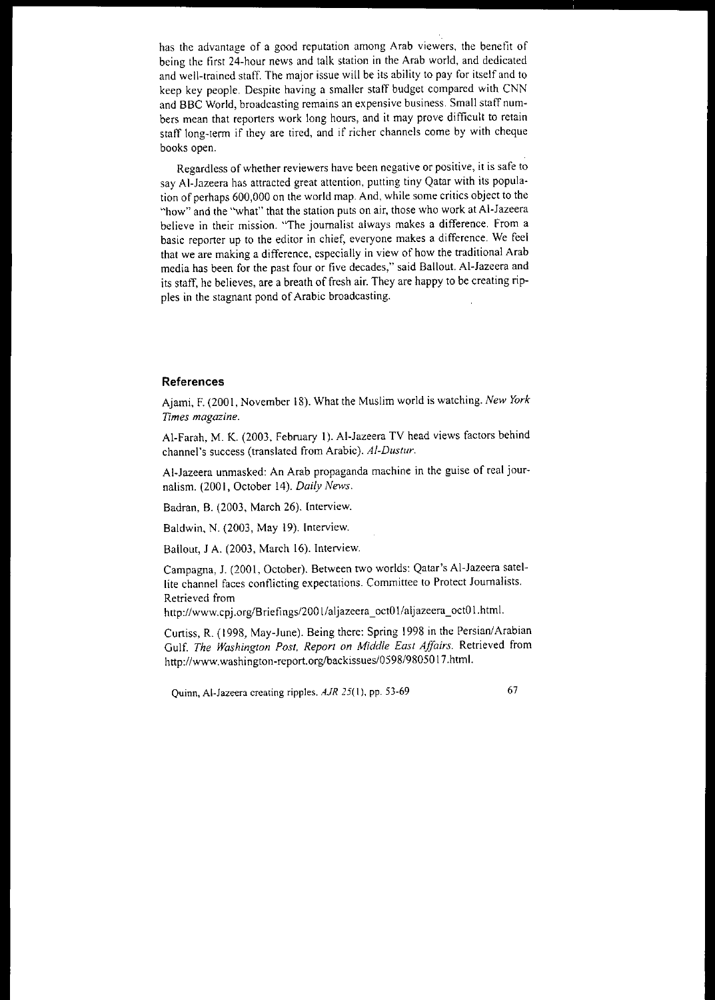**has the advantage of a good reputation among Arab viewers, the** bene tit **of** being the tirst 24-hour news and talk station in the Arab world, and dedicated and well-trained staff. The major issue will be its ability to pay for itself and to keep key people. Despite having a smaller staff budget compared with CNN **and BBC World, broadcasting remains an expensive business. Small staff num**bers mean that reporters work long hours, and it may prove difficult to retain staff long-term if they are tired, and if richer channels come by with cheque books open.

**Regardless** of whether **reviewers have been negative or positive, it is safe to** say AI-Jazeera has attracted great attention, putting tiny Qatar with its population of perhaps 600,000 on the world map. And, while some critics object to the "how" and the "what" that the station puts on air, those who work at AI-Jazeera **believe in their mission. "The journalist always makes a difference. From a** basic reporter up to the editor in chief, everyone makes a difference. We feel that we are making a difference, especially in view of how the traditional Arab media has been for the past four or five decades," said Ballout. Al-Jazeera and its staff, he believes, are a breath of fresh air. They are happy to be creating ripples in the stagnant pond of Arabic broadcasting.

### **References**

Ajami, F. (2001, November 18). What the Muslim world is watching. *New York Times magazine.*

AI-Farah, M. K. (2003, February I). AI-Jazeera TV head views factors behind channel's success (translated from Arabic). *AI-Dustur.*

AI-Jazeera unmasked: An Arab propaganda machine in the guise of real journalism. (2001, October 14). *Daily News.*

Badran, B. (2003, March 26). Interview.

Baldwin, N. (2003, May 19). Interview.

Ballout, J A. (2003, March 16). Interview.

Campagna, J. (200 I, October). Between two worlds: Qatar's AI-Jazeera satel**lite channel faces conflicting expectations. Committee to Protect Journalists. Retrieved from**

http://www.cpj.org/Briefings/2001/aljazeera\_octO\/aljazeera\_octOI.htm!.

Curtiss, R. (1998, May-June). Being there: Spring \998 in the Persian!Arabian Gulf. *The Washington Post. Report on Middle East Affairs.* Retrieved from http://www.washington-report.org/backissues/0598/9805017.html.

**Ouinn, Al-Jazeera creating ripples.** *AJR* **25( 1). pp. 53-69** 67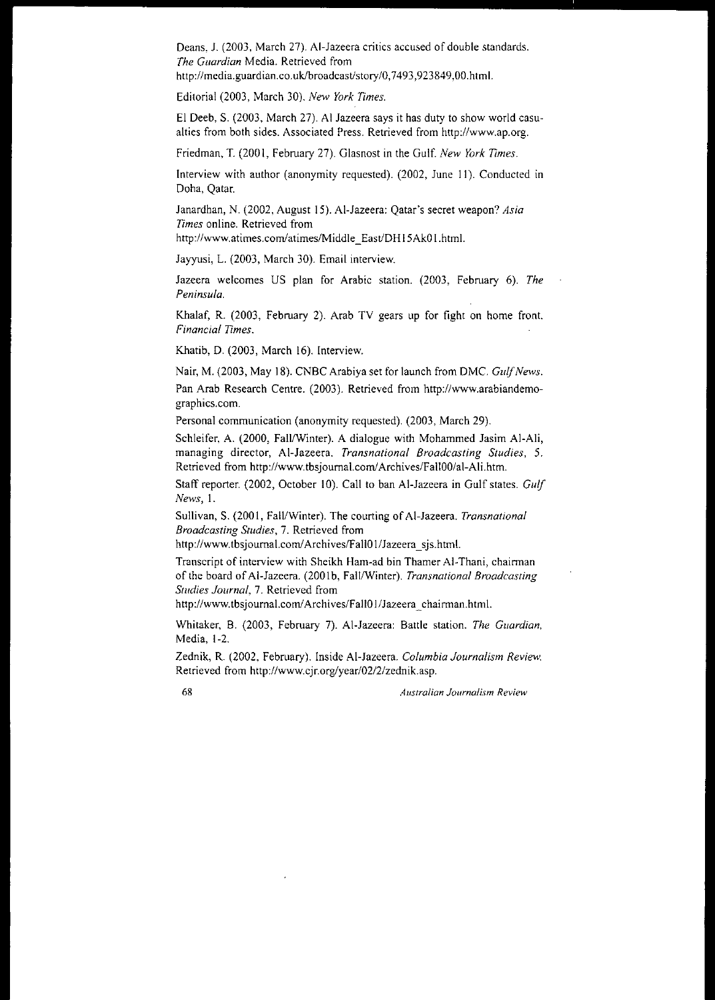Deans, J. (2003, March 27). AI-Jazeera critics accused of double standards. *The Guardian* **Media. Retrieved from** http://media.guardian.co.uk/broadcast/story/0,7493,923849,00.html.

Editorial (2003, March 30). *New York Times.*

El Deeb, S. (2003, March 27). AI Jazeera says it has duty to show world casualties from both sides. Associated Press. Retrieved from http://www.ap.org.

Friedman, T. (200 I, February 27). Glasnost in the Gulf. *New York Times.*

Interview with author (anonymity requested). (2002, June 11). Conducted in Doha, Qatar.

Janardhan, N. (2002, August 15). AI-Jazeera: Qatar's secret weapon? *Asia Times* **online. Retrieved from**

http://www.atimes.com/atimes/Middle\_East/DH15Ak01.html.

Jayyusi, L. (2003, March 30). Email interview.

Jazeera welcomes US plan for Arabic station. (2003, February 6). *The Peninsula.*

Khalaf, R. (2003, February 2). Arab TV gears up for fight on home front. *Financial TImes.*

Khatib, D. (2003, March 16). Interview.

Nair, M. (2003, May 18). CNBC Arabiya set for launch from DMC. Gulf News.

Pan Arab Research Centre. (2003). Retrieved from http://www.arabiandemographics.com.

Personal communication (anonymity requested). (2003, March 29).

Schleifer, A. (2000, Fall/Winter). A dialogue with Mohammed Jasim Al-Ali, **managing director, AI-Jazeera.** *Transnational Broadcasting Studies, 5.* Retrieved from http://www.tbsjournal.com/Archives/Fall00/al-Ali.htm.

Staff reporter. (2002, October 10). Call to ban AI-Jazeera in Gulf states. *Gulf News,* 1.

Sullivan, S. (2001, Fall/Winter). The courting of Al-Jazeera. *Transnational Broadcasting Studies,* **7. Retrieved from**

http://www.tbsjournal.com/Archives/Fall01/Jazeera\_sjs.html.

Transcript of interview with Sheikh Ham-ad bin Thamer AI-Thani, chairman of the board ofAI-lazeera. (200 Ib, FalllWinter). *Transnational Broadcasting 51l1dies Journal,* **7. Retrieved from**

http://www.tbsjournal.com/Archives/Fall01/Jazeera\_chairman.html.

Whitaker, B. (2003, February 7). AI-Jazeera: Battle station. *The Guardian.* Media, 1-2.

Zednik, R. (2002, February). Inside AI-Jazeera. *Columbia Journalism Review.* Retrieved from http://www.cjr.org/year/02/2/zednik.asp.